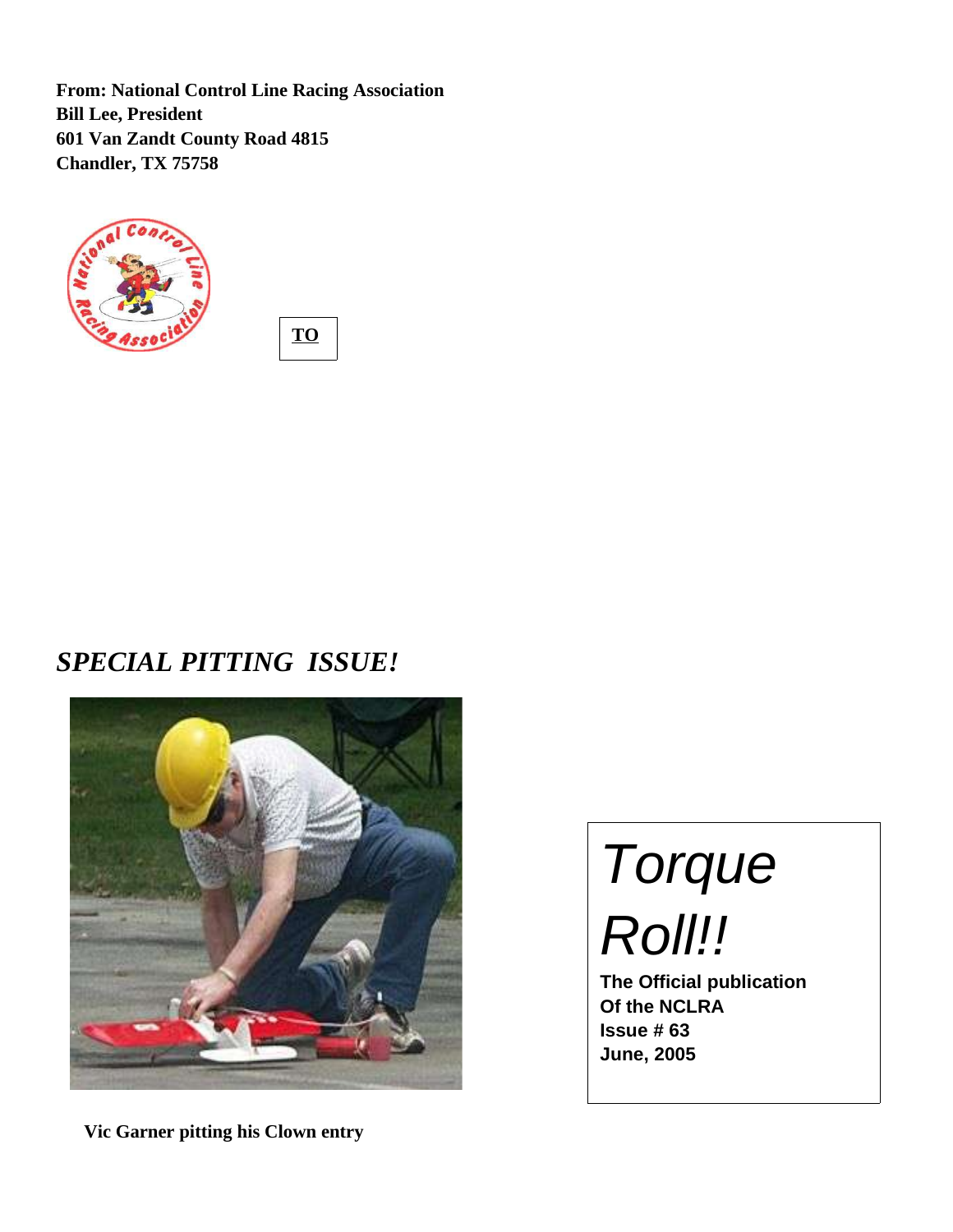**From: National Control Line Racing Association Bill Lee, President 601 Van Zandt County Road 4815 Chandler, TX 75758**



**TO :**

*SPECIAL PITTING ISSUE!*



 **Vic Garner pitting his Clown entry**

Torque Roll!!

**The Official publication Of the NCLRA Issue # 63 June, 2005**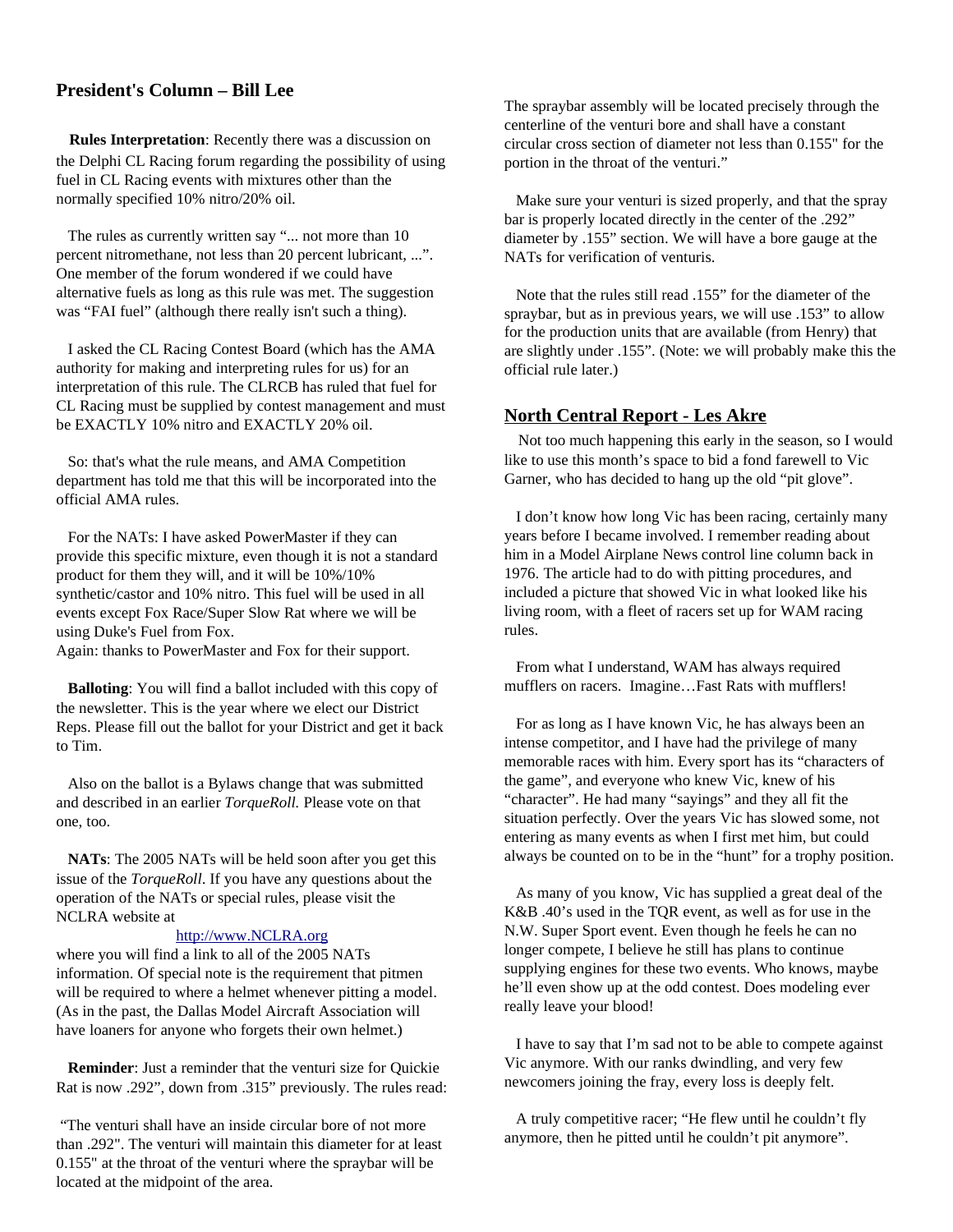# **President's Column – Bill Lee**

 **Rules Interpretation**: Recently there was a discussion on the Delphi CL Racing forum regarding the possibility of using fuel in CL Racing events with mixtures other than the normally specified 10% nitro/20% oil.

The rules as currently written say "... not more than 10 percent nitromethane, not less than 20 percent lubricant, ...". One member of the forum wondered if we could have alternative fuels as long as this rule was met. The suggestion was "FAI fuel" (although there really isn't such a thing).

I asked the CL Racing Contest Board (which has the AMA authority for making and interpreting rules for us) for an interpretation of this rule. The CLRCB has ruled that fuel for CL Racing must be supplied by contest management and must be EXACTLY 10% nitro and EXACTLY 20% oil.

So: that's what the rule means, and AMA Competition department has told me that this will be incorporated into the official AMA rules.

For the NATs: I have asked PowerMaster if they can provide this specific mixture, even though it is not a standard product for them they will, and it will be 10%/10% synthetic/castor and 10% nitro. This fuel will be used in all events except Fox Race/Super Slow Rat where we will be using Duke's Fuel from Fox.

Again: thanks to PowerMaster and Fox for their support.

**Balloting**: You will find a ballot included with this copy of the newsletter. This is the year where we elect our District Reps. Please fill out the ballot for your District and get it back to Tim.

Also on the ballot is a Bylaws change that was submitted and described in an earlier *TorqueRoll.* Please vote on that one, too.

**NATs**: The 2005 NATs will be held soon after you get this issue of the *TorqueRoll*. If you have any questions about the operation of the NATs or special rules, please visit the NCLRA website at

#### http://www.NCLRA.org

where you will find a link to all of the 2005 NATs information. Of special note is the requirement that pitmen will be required to where a helmet whenever pitting a model. (As in the past, the Dallas Model Aircraft Association will have loaners for anyone who forgets their own helmet.)

**Reminder**: Just a reminder that the venturi size for Quickie Rat is now .292", down from .315" previously. The rules read:

"The venturi shall have an inside circular bore of not more than .292". The venturi will maintain this diameter for at least 0.155" at the throat of the venturi where the spraybar will be located at the midpoint of the area.

The spraybar assembly will be located precisely through the centerline of the venturi bore and shall have a constant circular cross section of diameter not less than 0.155" for the portion in the throat of the venturi."

Make sure your venturi is sized properly, and that the spray bar is properly located directly in the center of the .292" diameter by .155" section. We will have a bore gauge at the NATs for verification of venturis.

Note that the rules still read .155" for the diameter of the spraybar, but as in previous years, we will use .153" to allow for the production units that are available (from Henry) that are slightly under .155". (Note: we will probably make this the official rule later.)

#### **North Central Report - Les Akre**

 Not too much happening this early in the season, so I would like to use this month's space to bid a fond farewell to Vic Garner, who has decided to hang up the old "pit glove".

I don't know how long Vic has been racing, certainly many years before I became involved. I remember reading about him in a Model Airplane News control line column back in 1976. The article had to do with pitting procedures, and included a picture that showed Vic in what looked like his living room, with a fleet of racers set up for WAM racing rules.

From what I understand, WAM has always required mufflers on racers. Imagine…Fast Rats with mufflers!

For as long as I have known Vic, he has always been an intense competitor, and I have had the privilege of many memorable races with him. Every sport has its "characters of the game", and everyone who knew Vic, knew of his "character". He had many "sayings" and they all fit the situation perfectly. Over the years Vic has slowed some, not entering as many events as when I first met him, but could always be counted on to be in the "hunt" for a trophy position.

As many of you know, Vic has supplied a great deal of the K&B .40's used in the TQR event, as well as for use in the N.W. Super Sport event. Even though he feels he can no longer compete, I believe he still has plans to continue supplying engines for these two events. Who knows, maybe he'll even show up at the odd contest. Does modeling ever really leave your blood!

I have to say that I'm sad not to be able to compete against Vic anymore. With our ranks dwindling, and very few newcomers joining the fray, every loss is deeply felt.

A truly competitive racer; "He flew until he couldn't fly anymore, then he pitted until he couldn't pit anymore".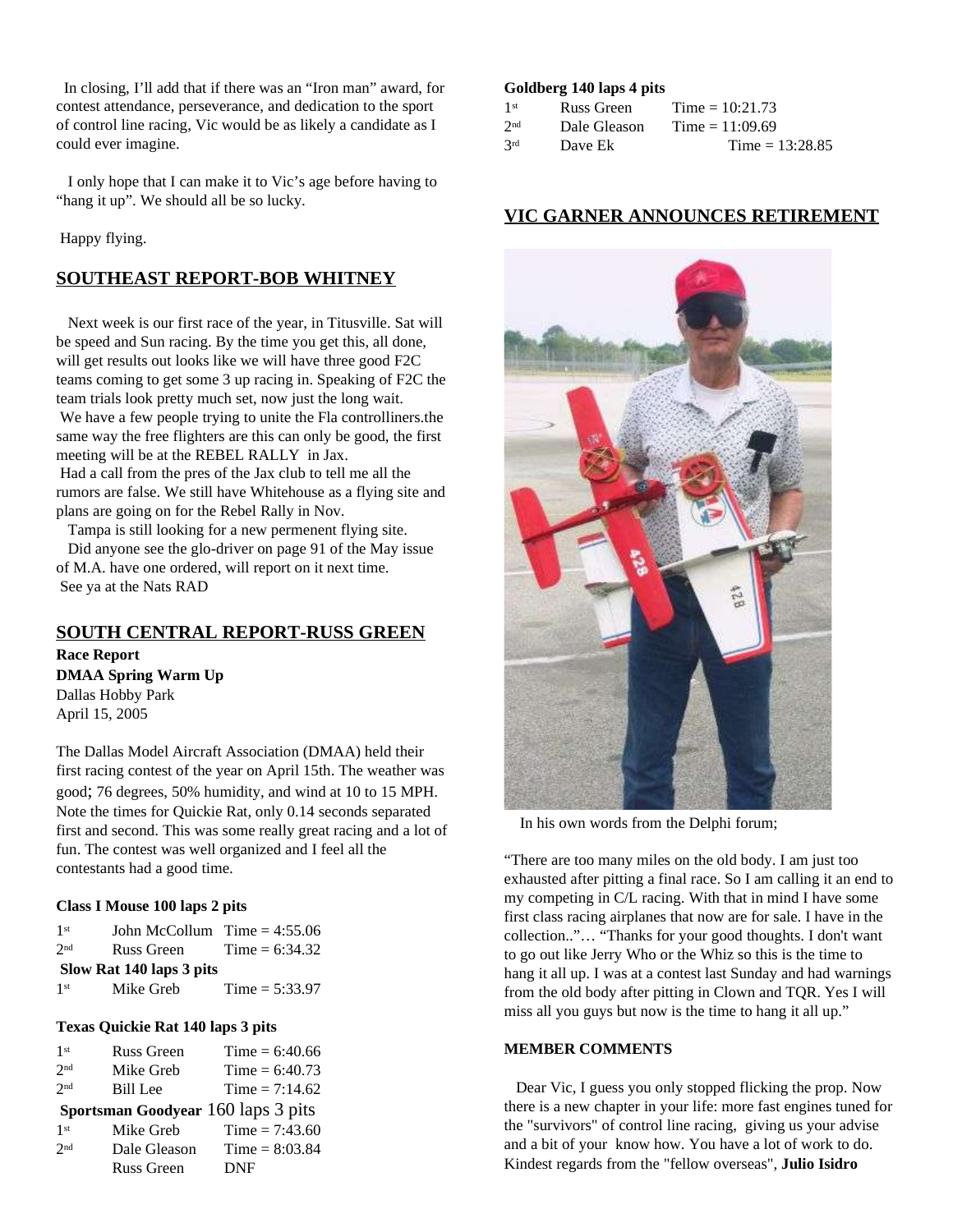In closing, I'll add that if there was an "Iron man" award, for contest attendance, perseverance, and dedication to the sport of control line racing, Vic would be as likely a candidate as I could ever imagine.

I only hope that I can make it to Vic's age before having to "hang it up". We should all be so lucky.

Happy flying.

# **SOUTHEAST REPORT-BOB WHITNEY**

Next week is our first race of the year, in Titusville. Sat will be speed and Sun racing. By the time you get this, all done, will get results out looks like we will have three good F2C teams coming to get some 3 up racing in. Speaking of F2C the team trials look pretty much set, now just the long wait. We have a few people trying to unite the Fla controlliners.the same way the free flighters are this can only be good, the first meeting will be at the REBEL RALLY in Jax.

Had a call from the pres of the Jax club to tell me all the rumors are false. We still have Whitehouse as a flying site and plans are going on for the Rebel Rally in Nov.

Tampa is still looking for a new permenent flying site. Did anyone see the glo-driver on page 91 of the May issue of M.A. have one ordered, will report on it next time. See ya at the Nats RAD

# **SOUTH CENTRAL REPORT-RUSS GREEN**

**Race Report DMAA Spring Warm Up** Dallas Hobby Park April 15, 2005

The Dallas Model Aircraft Association (DMAA) held their first racing contest of the year on April 15th. The weather was good; 76 degrees, 50% humidity, and wind at 10 to 15 MPH. Note the times for Quickie Rat, only 0.14 seconds separated first and second. This was some really great racing and a lot of fun. The contest was well organized and I feel all the contestants had a good time.

#### **Class I Mouse 100 laps 2 pits**

| 1 <sup>st</sup> | John McCollum $Time = 4:55.06$ |                  |
|-----------------|--------------------------------|------------------|
| 2nd             | Russ Green                     | Time = $6:34.32$ |
|                 | Slow Rat 140 laps 3 pits       |                  |
| 1 <sup>st</sup> | Mike Greb                      | Time = $5:33.97$ |

#### **Texas Quickie Rat 140 laps 3 pits**

| 1 <sup>st</sup> | <b>Russ Green</b> | $Time = 6:40.66$                   |
|-----------------|-------------------|------------------------------------|
| 2nd             | Mike Greb         | Time = $6:40.73$                   |
| 2nd             | Bill Lee          | Time = $7:14.62$                   |
|                 |                   | Sportsman Goodyear 160 laps 3 pits |
| 1 <sup>st</sup> | Mike Greb         | Time = $7:43.60$                   |
| 2nd             | Dale Gleason      | $Time = 8:03.84$                   |
|                 | <b>Russ Green</b> | <b>DNF</b>                         |

#### **Goldberg 140 laps 4 pits**

| 1 <sup>st</sup> | Russ Green   | Time = $10:21.73$ |
|-----------------|--------------|-------------------|
| 2 <sub>nd</sub> | Dale Gleason | Time = $11:09.69$ |
| 2rd             | Dave Ek      | Time = $13:28.85$ |

# **VIC GARNER ANNOUNCES RETIREMENT**



In his own words from the Delphi forum;

"There are too many miles on the old body. I am just too exhausted after pitting a final race. So I am calling it an end to my competing in C/L racing. With that in mind I have some first class racing airplanes that now are for sale. I have in the collection.."… "Thanks for your good thoughts. I don't want to go out like Jerry Who or the Whiz so this is the time to hang it all up. I was at a contest last Sunday and had warnings from the old body after pitting in Clown and TQR. Yes I will miss all you guys but now is the time to hang it all up."

#### **MEMBER COMMENTS**

Dear Vic, I guess you only stopped flicking the prop. Now there is a new chapter in your life: more fast engines tuned for the "survivors" of control line racing, giving us your advise and a bit of your know how. You have a lot of work to do. Kindest regards from the "fellow overseas", **Julio Isidro**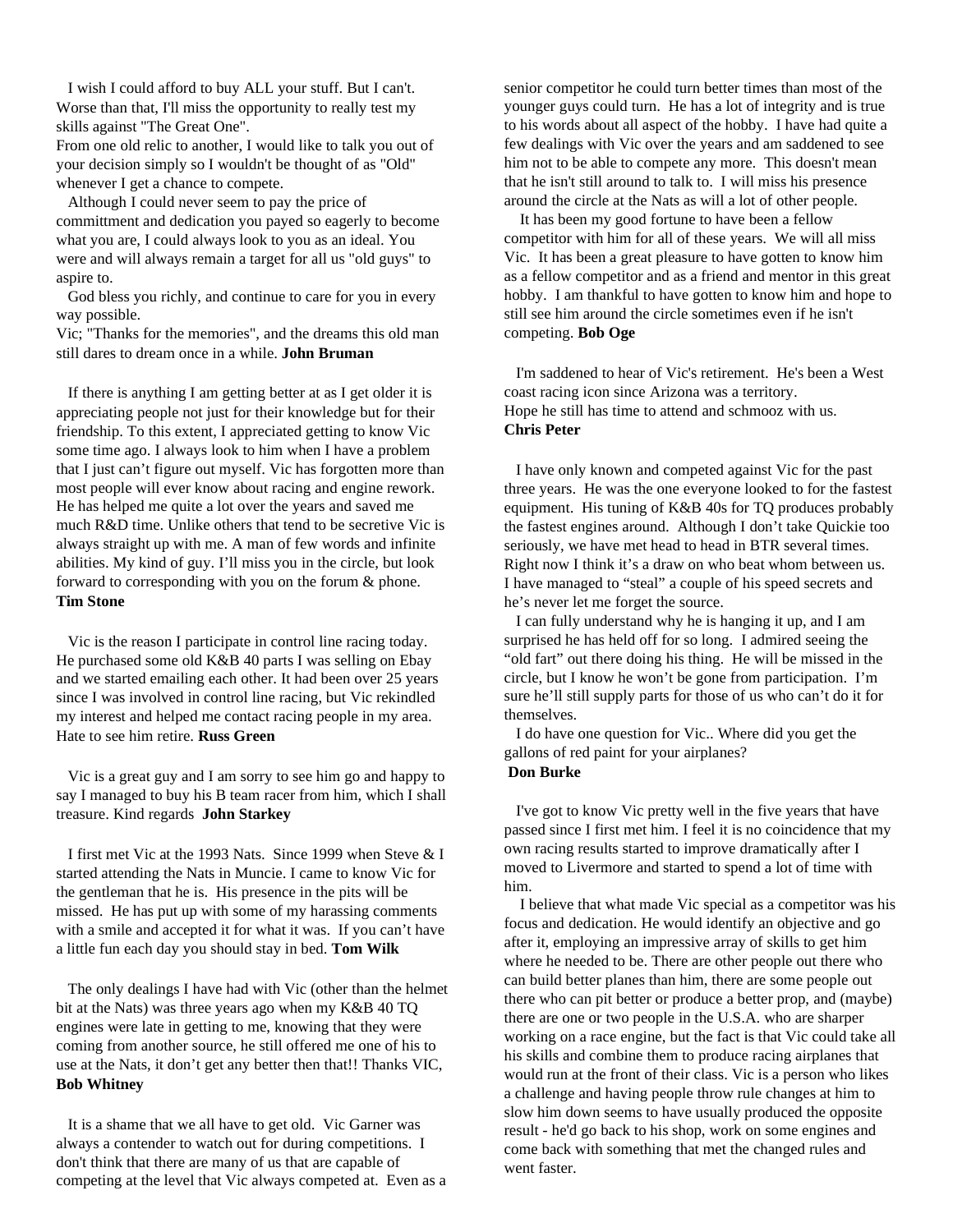I wish I could afford to buy ALL your stuff. But I can't. Worse than that, I'll miss the opportunity to really test my skills against "The Great One".

From one old relic to another, I would like to talk you out of your decision simply so I wouldn't be thought of as "Old" whenever I get a chance to compete.

Although I could never seem to pay the price of committment and dedication you payed so eagerly to become what you are, I could always look to you as an ideal. You were and will always remain a target for all us "old guys" to aspire to.

God bless you richly, and continue to care for you in every way possible.

Vic; "Thanks for the memories", and the dreams this old man still dares to dream once in a while. **John Bruman**

If there is anything I am getting better at as I get older it is appreciating people not just for their knowledge but for their friendship. To this extent, I appreciated getting to know Vic some time ago. I always look to him when I have a problem that I just can't figure out myself. Vic has forgotten more than most people will ever know about racing and engine rework. He has helped me quite a lot over the years and saved me much R&D time. Unlike others that tend to be secretive Vic is always straight up with me. A man of few words and infinite abilities. My kind of guy. I'll miss you in the circle, but look forward to corresponding with you on the forum & phone. **Tim Stone**

Vic is the reason I participate in control line racing today. He purchased some old K&B 40 parts I was selling on Ebay and we started emailing each other. It had been over 25 years since I was involved in control line racing, but Vic rekindled my interest and helped me contact racing people in my area. Hate to see him retire. **Russ Green**

Vic is a great guy and I am sorry to see him go and happy to say I managed to buy his B team racer from him, which I shall treasure. Kind regards **John Starkey**

I first met Vic at the 1993 Nats. Since 1999 when Steve & I started attending the Nats in Muncie. I came to know Vic for the gentleman that he is. His presence in the pits will be missed. He has put up with some of my harassing comments with a smile and accepted it for what it was. If you can't have a little fun each day you should stay in bed. **Tom Wilk**

The only dealings I have had with Vic (other than the helmet bit at the Nats) was three years ago when my K&B 40 TQ engines were late in getting to me, knowing that they were coming from another source, he still offered me one of his to use at the Nats, it don't get any better then that!! Thanks VIC, **Bob Whitney**

It is a shame that we all have to get old. Vic Garner was always a contender to watch out for during competitions. I don't think that there are many of us that are capable of competing at the level that Vic always competed at. Even as a senior competitor he could turn better times than most of the younger guys could turn. He has a lot of integrity and is true to his words about all aspect of the hobby. I have had quite a few dealings with Vic over the years and am saddened to see him not to be able to compete any more. This doesn't mean that he isn't still around to talk to. I will miss his presence around the circle at the Nats as will a lot of other people.

It has been my good fortune to have been a fellow competitor with him for all of these years. We will all miss Vic. It has been a great pleasure to have gotten to know him as a fellow competitor and as a friend and mentor in this great hobby. I am thankful to have gotten to know him and hope to still see him around the circle sometimes even if he isn't competing. **Bob Oge**

I'm saddened to hear of Vic's retirement. He's been a West coast racing icon since Arizona was a territory. Hope he still has time to attend and schmooz with us. **Chris Peter**

I have only known and competed against Vic for the past three years. He was the one everyone looked to for the fastest equipment. His tuning of K&B 40s for TQ produces probably the fastest engines around. Although I don't take Quickie too seriously, we have met head to head in BTR several times. Right now I think it's a draw on who beat whom between us. I have managed to "steal" a couple of his speed secrets and he's never let me forget the source.

I can fully understand why he is hanging it up, and I am surprised he has held off for so long. I admired seeing the "old fart" out there doing his thing. He will be missed in the circle, but I know he won't be gone from participation. I'm sure he'll still supply parts for those of us who can't do it for themselves.

I do have one question for Vic.. Where did you get the gallons of red paint for your airplanes? **Don Burke**

I've got to know Vic pretty well in the five years that have passed since I first met him. I feel it is no coincidence that my own racing results started to improve dramatically after I moved to Livermore and started to spend a lot of time with him.

I believe that what made Vic special as a competitor was his focus and dedication. He would identify an objective and go after it, employing an impressive array of skills to get him where he needed to be. There are other people out there who can build better planes than him, there are some people out there who can pit better or produce a better prop, and (maybe) there are one or two people in the U.S.A. who are sharper working on a race engine, but the fact is that Vic could take all his skills and combine them to produce racing airplanes that would run at the front of their class. Vic is a person who likes a challenge and having people throw rule changes at him to slow him down seems to have usually produced the opposite result - he'd go back to his shop, work on some engines and come back with something that met the changed rules and went faster.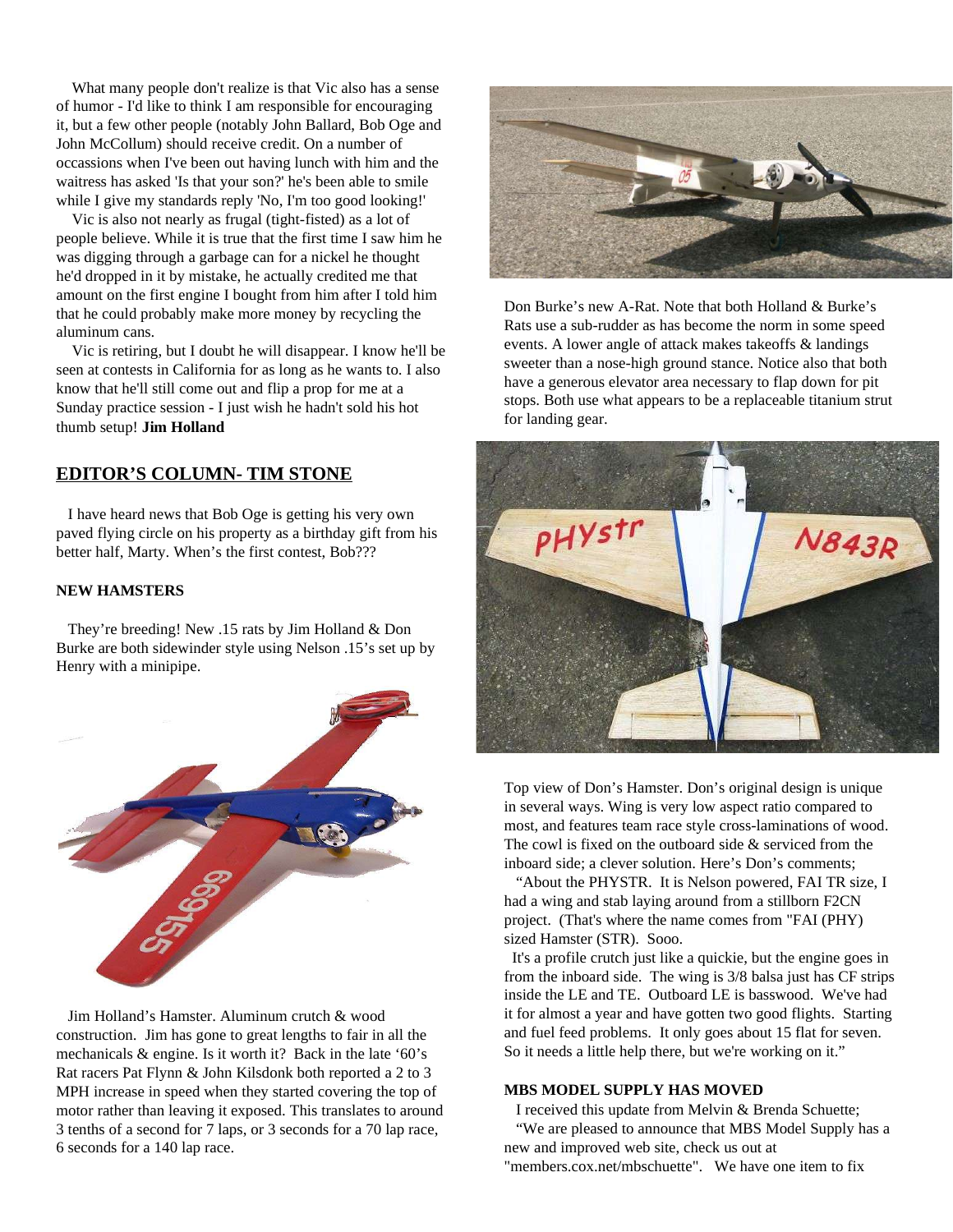What many people don't realize is that Vic also has a sense of humor - I'd like to think I am responsible for encouraging it, but a few other people (notably John Ballard, Bob Oge and John McCollum) should receive credit. On a number of occassions when I've been out having lunch with him and the waitress has asked 'Is that your son?' he's been able to smile while I give my standards reply 'No, I'm too good looking!'

Vic is also not nearly as frugal (tight-fisted) as a lot of people believe. While it is true that the first time I saw him he was digging through a garbage can for a nickel he thought he'd dropped in it by mistake, he actually credited me that amount on the first engine I bought from him after I told him that he could probably make more money by recycling the aluminum cans.

Vic is retiring, but I doubt he will disappear. I know he'll be seen at contests in California for as long as he wants to. I also know that he'll still come out and flip a prop for me at a Sunday practice session - I just wish he hadn't sold his hot thumb setup! **Jim Holland**

# **EDITOR'S COLUMN- TIM STONE**

I have heard news that Bob Oge is getting his very own paved flying circle on his property as a birthday gift from his better half, Marty. When's the first contest, Bob???

### **NEW HAMSTERS**

They're breeding! New .15 rats by Jim Holland & Don Burke are both sidewinder style using Nelson .15's set up by Henry with a minipipe.



Jim Holland's Hamster. Aluminum crutch & wood construction. Jim has gone to great lengths to fair in all the mechanicals & engine. Is it worth it? Back in the late '60's Rat racers Pat Flynn & John Kilsdonk both reported a 2 to 3 MPH increase in speed when they started covering the top of motor rather than leaving it exposed. This translates to around 3 tenths of a second for 7 laps, or 3 seconds for a 70 lap race, 6 seconds for a 140 lap race.



Don Burke's new A-Rat. Note that both Holland & Burke's Rats use a sub-rudder as has become the norm in some speed events. A lower angle of attack makes takeoffs & landings sweeter than a nose-high ground stance. Notice also that both have a generous elevator area necessary to flap down for pit stops. Both use what appears to be a replaceable titanium strut for landing gear.



Top view of Don's Hamster. Don's original design is unique in several ways. Wing is very low aspect ratio compared to most, and features team race style cross-laminations of wood. The cowl is fixed on the outboard side & serviced from the inboard side; a clever solution. Here's Don's comments;

"About the PHYSTR. It is Nelson powered, FAI TR size, I had a wing and stab laying around from a stillborn F2CN project. (That's where the name comes from "FAI (PHY) sized Hamster (STR). Sooo.

It's a profile crutch just like a quickie, but the engine goes in from the inboard side. The wing is 3/8 balsa just has CF strips inside the LE and TE. Outboard LE is basswood. We've had it for almost a year and have gotten two good flights. Starting and fuel feed problems. It only goes about 15 flat for seven. So it needs a little help there, but we're working on it."

#### **MBS MODEL SUPPLY HAS MOVED**

I received this update from Melvin & Brenda Schuette; "We are pleased to announce that MBS Model Supply has a new and improved web site, check us out at "members.cox.net/mbschuette". We have one item to fix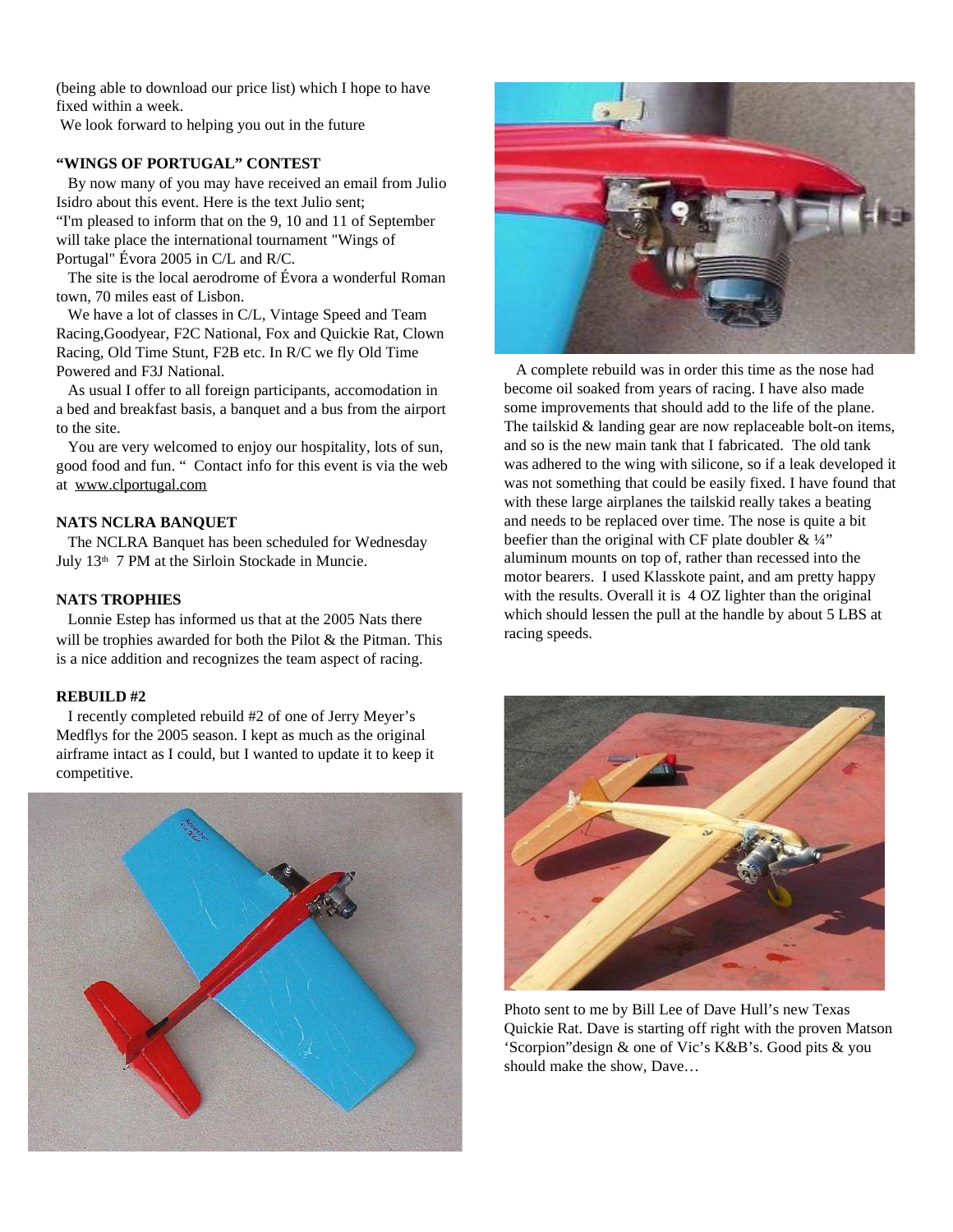(being able to download our price list) which I hope to have fixed within a week.

We look forward to helping you out in the future

#### **"WINGS OF PORTUGAL" CONTEST**

By now many of you may have received an email from Julio Isidro about this event. Here is the text Julio sent; "I'm pleased to inform that on the 9, 10 and 11 of September will take place the international tournament "Wings of Portugal" Évora 2005 in C/L and R/C.

The site is the local aerodrome of Évora a wonderful Roman town, 70 miles east of Lisbon.

We have a lot of classes in C/L, Vintage Speed and Team Racing,Goodyear, F2C National, Fox and Quickie Rat, Clown Racing, Old Time Stunt, F2B etc. In R/C we fly Old Time Powered and F3J National.

As usual I offer to all foreign participants, accomodation in a bed and breakfast basis, a banquet and a bus from the airport to the site.

You are very welcomed to enjoy our hospitality, lots of sun, good food and fun. " Contact info for this event is via the web at www.clportugal.com

#### **NATS NCLRA BANQUET**

The NCLRA Banquet has been scheduled for Wednesday July 13<sup>th</sup> 7 PM at the Sirloin Stockade in Muncie.

#### **NATS TROPHIES**

Lonnie Estep has informed us that at the 2005 Nats there will be trophies awarded for both the Pilot & the Pitman. This is a nice addition and recognizes the team aspect of racing.

#### **REBUILD #2**

I recently completed rebuild #2 of one of Jerry Meyer's Medflys for the 2005 season. I kept as much as the original airframe intact as I could, but I wanted to update it to keep it competitive.





A complete rebuild was in order this time as the nose had become oil soaked from years of racing. I have also made some improvements that should add to the life of the plane. The tailskid & landing gear are now replaceable bolt-on items, and so is the new main tank that I fabricated. The old tank was adhered to the wing with silicone, so if a leak developed it was not something that could be easily fixed. I have found that with these large airplanes the tailskid really takes a beating and needs to be replaced over time. The nose is quite a bit beefier than the original with CF plate doubler  $& \frac{1}{4}$ " aluminum mounts on top of, rather than recessed into the motor bearers. I used Klasskote paint, and am pretty happy with the results. Overall it is 4 OZ lighter than the original which should lessen the pull at the handle by about 5 LBS at racing speeds.



Photo sent to me by Bill Lee of Dave Hull's new Texas Quickie Rat. Dave is starting off right with the proven Matson 'Scorpion"design & one of Vic's K&B's. Good pits & you should make the show, Dave…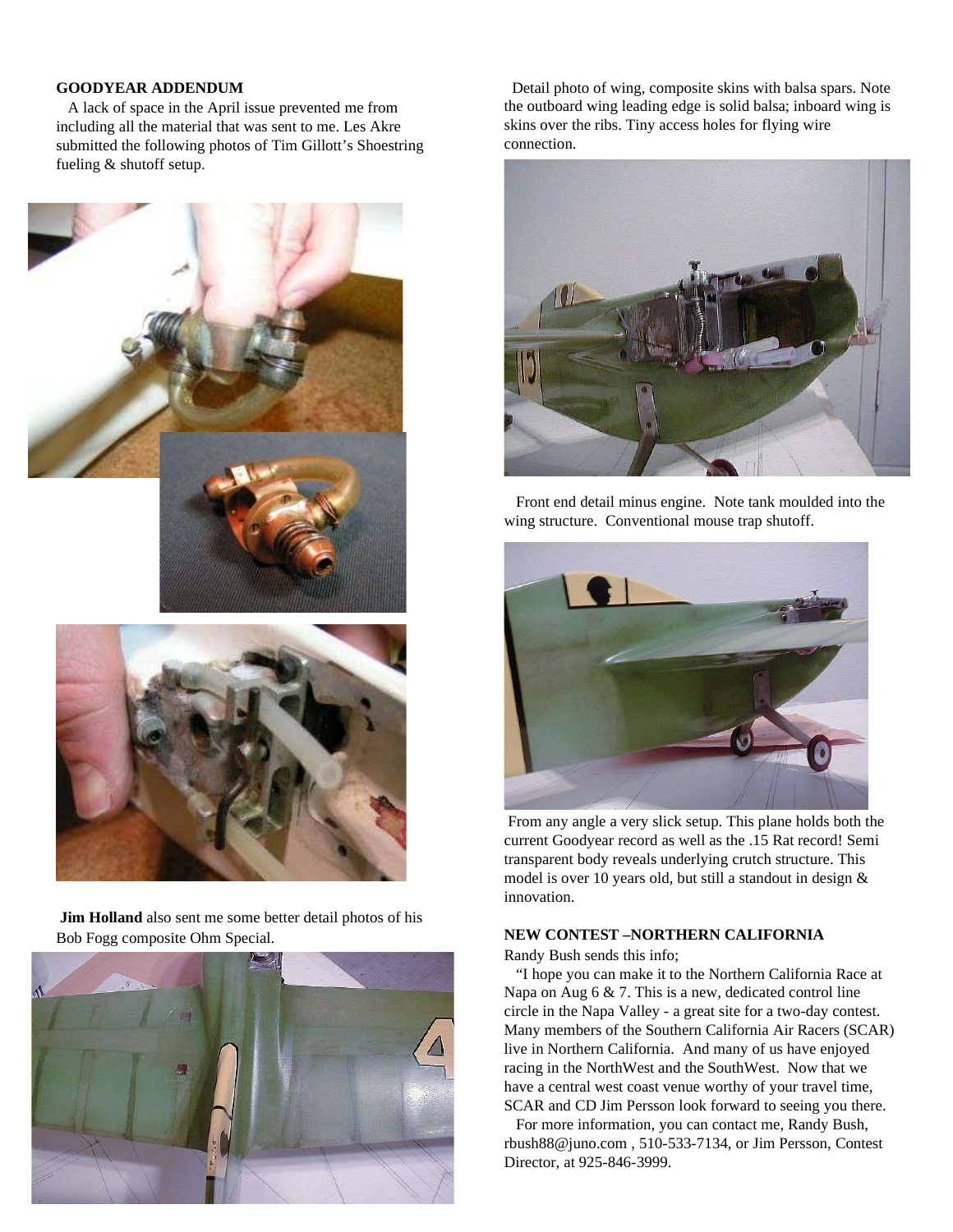#### **GOODYEAR ADDENDUM**

A lack of space in the April issue prevented me from including all the material that was sent to me. Les Akre submitted the following photos of Tim Gillott's Shoestring fueling & shutoff setup.



**Jim Holland** also sent me some better detail photos of his



Detail photo of wing, composite skins with balsa spars. Note the outboard wing leading edge is solid balsa; inboard wing is skins over the ribs. Tiny access holes for flying wire connection.



Front end detail minus engine. Note tank moulded into the wing structure. Conventional mouse trap shutoff.



From any angle a very slick setup. This plane holds both the current Goodyear record as well as the .15 Rat record! Semi transparent body reveals underlying crutch structure. This model is over 10 years old, but still a standout in design & innovation.

#### **NEW CONTEST –NORTHERN CALIFORNIA**

Randy Bush sends this info;

"I hope you can make it to the Northern California Race at Napa on Aug  $6 \& 7$ . This is a new, dedicated control line circle in the Napa Valley - a great site for a two-day contest. Many members of the Southern California Air Racers (SCAR) live in Northern California. And many of us have enjoyed racing in the NorthWest and the SouthWest. Now that we have a central west coast venue worthy of your travel time, SCAR and CD Jim Persson look forward to seeing you there.

For more information, you can contact me, Randy Bush, rbush88@juno.com , 510-533-7134, or Jim Persson, Contest Director, at 925-846-3999.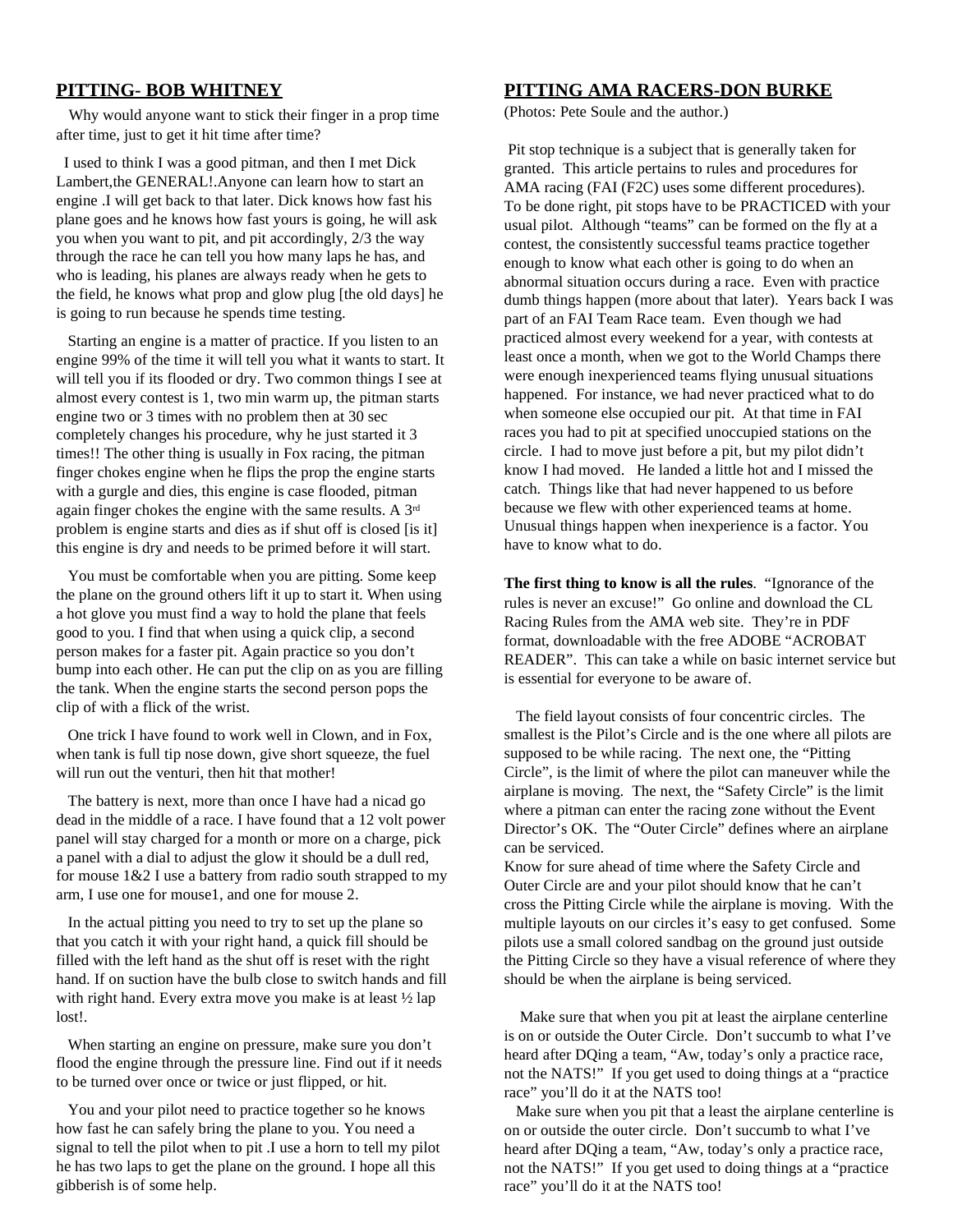# **PITTING- BOB WHITNEY**

Why would anyone want to stick their finger in a prop time after time, just to get it hit time after time?

I used to think I was a good pitman, and then I met Dick Lambert,the GENERAL!.Anyone can learn how to start an engine .I will get back to that later. Dick knows how fast his plane goes and he knows how fast yours is going, he will ask you when you want to pit, and pit accordingly, 2/3 the way through the race he can tell you how many laps he has, and who is leading, his planes are always ready when he gets to the field, he knows what prop and glow plug [the old days] he is going to run because he spends time testing.

Starting an engine is a matter of practice. If you listen to an engine 99% of the time it will tell you what it wants to start. It will tell you if its flooded or dry. Two common things I see at almost every contest is 1, two min warm up, the pitman starts engine two or 3 times with no problem then at 30 sec completely changes his procedure, why he just started it 3 times!! The other thing is usually in Fox racing, the pitman finger chokes engine when he flips the prop the engine starts with a gurgle and dies, this engine is case flooded, pitman again finger chokes the engine with the same results. A  $3<sup>rd</sup>$ problem is engine starts and dies as if shut off is closed [is it] this engine is dry and needs to be primed before it will start.

You must be comfortable when you are pitting. Some keep the plane on the ground others lift it up to start it. When using a hot glove you must find a way to hold the plane that feels good to you. I find that when using a quick clip, a second person makes for a faster pit. Again practice so you don't bump into each other. He can put the clip on as you are filling the tank. When the engine starts the second person pops the clip of with a flick of the wrist.

One trick I have found to work well in Clown, and in Fox, when tank is full tip nose down, give short squeeze, the fuel will run out the venturi, then hit that mother!

The battery is next, more than once I have had a nicad go dead in the middle of a race. I have found that a 12 volt power panel will stay charged for a month or more on a charge, pick a panel with a dial to adjust the glow it should be a dull red, for mouse  $1\&2$  I use a battery from radio south strapped to my arm, I use one for mouse1, and one for mouse 2.

In the actual pitting you need to try to set up the plane so that you catch it with your right hand, a quick fill should be filled with the left hand as the shut off is reset with the right hand. If on suction have the bulb close to switch hands and fill with right hand. Every extra move you make is at least  $\frac{1}{2}$  lap lost!.

When starting an engine on pressure, make sure you don't flood the engine through the pressure line. Find out if it needs to be turned over once or twice or just flipped, or hit.

You and your pilot need to practice together so he knows how fast he can safely bring the plane to you. You need a signal to tell the pilot when to pit .I use a horn to tell my pilot he has two laps to get the plane on the ground. I hope all this gibberish is of some help.

# **PITTING AMA RACERS-DON BURKE**

(Photos: Pete Soule and the author.)

Pit stop technique is a subject that is generally taken for granted. This article pertains to rules and procedures for AMA racing (FAI (F2C) uses some different procedures). To be done right, pit stops have to be PRACTICED with your usual pilot. Although "teams" can be formed on the fly at a contest, the consistently successful teams practice together enough to know what each other is going to do when an abnormal situation occurs during a race. Even with practice dumb things happen (more about that later). Years back I was part of an FAI Team Race team. Even though we had practiced almost every weekend for a year, with contests at least once a month, when we got to the World Champs there were enough inexperienced teams flying unusual situations happened. For instance, we had never practiced what to do when someone else occupied our pit. At that time in FAI races you had to pit at specified unoccupied stations on the circle. I had to move just before a pit, but my pilot didn't know I had moved. He landed a little hot and I missed the catch. Things like that had never happened to us before because we flew with other experienced teams at home. Unusual things happen when inexperience is a factor. You have to know what to do.

**The first thing to know is all the rules**. "Ignorance of the rules is never an excuse!" Go online and download the CL Racing Rules from the AMA web site. They're in PDF format, downloadable with the free ADOBE "ACROBAT READER". This can take a while on basic internet service but is essential for everyone to be aware of.

The field layout consists of four concentric circles. The smallest is the Pilot's Circle and is the one where all pilots are supposed to be while racing. The next one, the "Pitting Circle", is the limit of where the pilot can maneuver while the airplane is moving. The next, the "Safety Circle" is the limit where a pitman can enter the racing zone without the Event Director's OK. The "Outer Circle" defines where an airplane can be serviced.

Know for sure ahead of time where the Safety Circle and Outer Circle are and your pilot should know that he can't cross the Pitting Circle while the airplane is moving. With the multiple layouts on our circles it's easy to get confused. Some pilots use a small colored sandbag on the ground just outside the Pitting Circle so they have a visual reference of where they should be when the airplane is being serviced.

Make sure that when you pit at least the airplane centerline is on or outside the Outer Circle. Don't succumb to what I've heard after DQing a team, "Aw, today's only a practice race, not the NATS!" If you get used to doing things at a "practice race" you'll do it at the NATS too!

Make sure when you pit that a least the airplane centerline is on or outside the outer circle. Don't succumb to what I've heard after DQing a team, "Aw, today's only a practice race, not the NATS!" If you get used to doing things at a "practice race" you'll do it at the NATS too!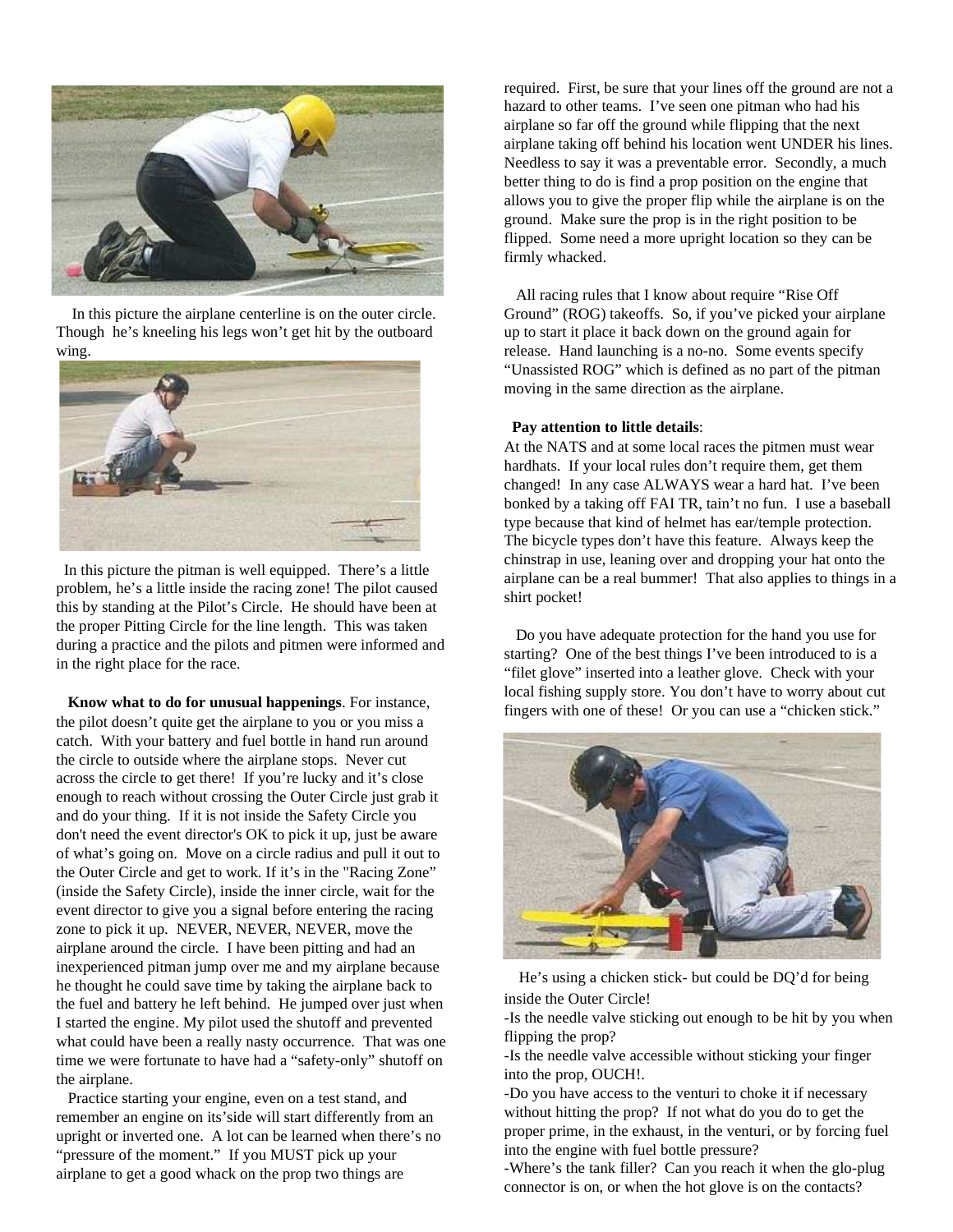

In this picture the airplane centerline is on the outer circle. Though he's kneeling his legs won't get hit by the outboard wing.



In this picture the pitman is well equipped. There's a little problem, he's a little inside the racing zone! The pilot caused this by standing at the Pilot's Circle. He should have been at the proper Pitting Circle for the line length. This was taken during a practice and the pilots and pitmen were informed and in the right place for the race.

**Know what to do for unusual happenings**. For instance, the pilot doesn't quite get the airplane to you or you miss a catch. With your battery and fuel bottle in hand run around the circle to outside where the airplane stops. Never cut across the circle to get there! If you're lucky and it's close enough to reach without crossing the Outer Circle just grab it and do your thing. If it is not inside the Safety Circle you don't need the event director's OK to pick it up, just be aware of what's going on. Move on a circle radius and pull it out to the Outer Circle and get to work. If it's in the "Racing Zone" (inside the Safety Circle), inside the inner circle, wait for the event director to give you a signal before entering the racing zone to pick it up. NEVER, NEVER, NEVER, move the airplane around the circle. I have been pitting and had an inexperienced pitman jump over me and my airplane because he thought he could save time by taking the airplane back to the fuel and battery he left behind. He jumped over just when I started the engine. My pilot used the shutoff and prevented what could have been a really nasty occurrence. That was one time we were fortunate to have had a "safety-only" shutoff on the airplane.

Practice starting your engine, even on a test stand, and remember an engine on its'side will start differently from an upright or inverted one. A lot can be learned when there's no "pressure of the moment." If you MUST pick up your airplane to get a good whack on the prop two things are

required. First, be sure that your lines off the ground are not a hazard to other teams. I've seen one pitman who had his airplane so far off the ground while flipping that the next airplane taking off behind his location went UNDER his lines. Needless to say it was a preventable error. Secondly, a much better thing to do is find a prop position on the engine that allows you to give the proper flip while the airplane is on the ground. Make sure the prop is in the right position to be flipped. Some need a more upright location so they can be firmly whacked.

All racing rules that I know about require "Rise Off Ground" (ROG) takeoffs. So, if you've picked your airplane up to start it place it back down on the ground again for release. Hand launching is a no-no. Some events specify "Unassisted ROG" which is defined as no part of the pitman moving in the same direction as the airplane.

#### **Pay attention to little details**:

At the NATS and at some local races the pitmen must wear hardhats. If your local rules don't require them, get them changed! In any case ALWAYS wear a hard hat. I've been bonked by a taking off FAI TR, tain't no fun. I use a baseball type because that kind of helmet has ear/temple protection. The bicycle types don't have this feature. Always keep the chinstrap in use, leaning over and dropping your hat onto the airplane can be a real bummer! That also applies to things in a shirt pocket!

Do you have adequate protection for the hand you use for starting? One of the best things I've been introduced to is a "filet glove" inserted into a leather glove. Check with your local fishing supply store. You don't have to worry about cut fingers with one of these! Or you can use a "chicken stick."



He's using a chicken stick- but could be DQ'd for being inside the Outer Circle!

-Is the needle valve sticking out enough to be hit by you when flipping the prop?

-Is the needle valve accessible without sticking your finger into the prop, OUCH!.

-Do you have access to the venturi to choke it if necessary without hitting the prop? If not what do you do to get the proper prime, in the exhaust, in the venturi, or by forcing fuel into the engine with fuel bottle pressure?

-Where's the tank filler? Can you reach it when the glo-plug connector is on, or when the hot glove is on the contacts?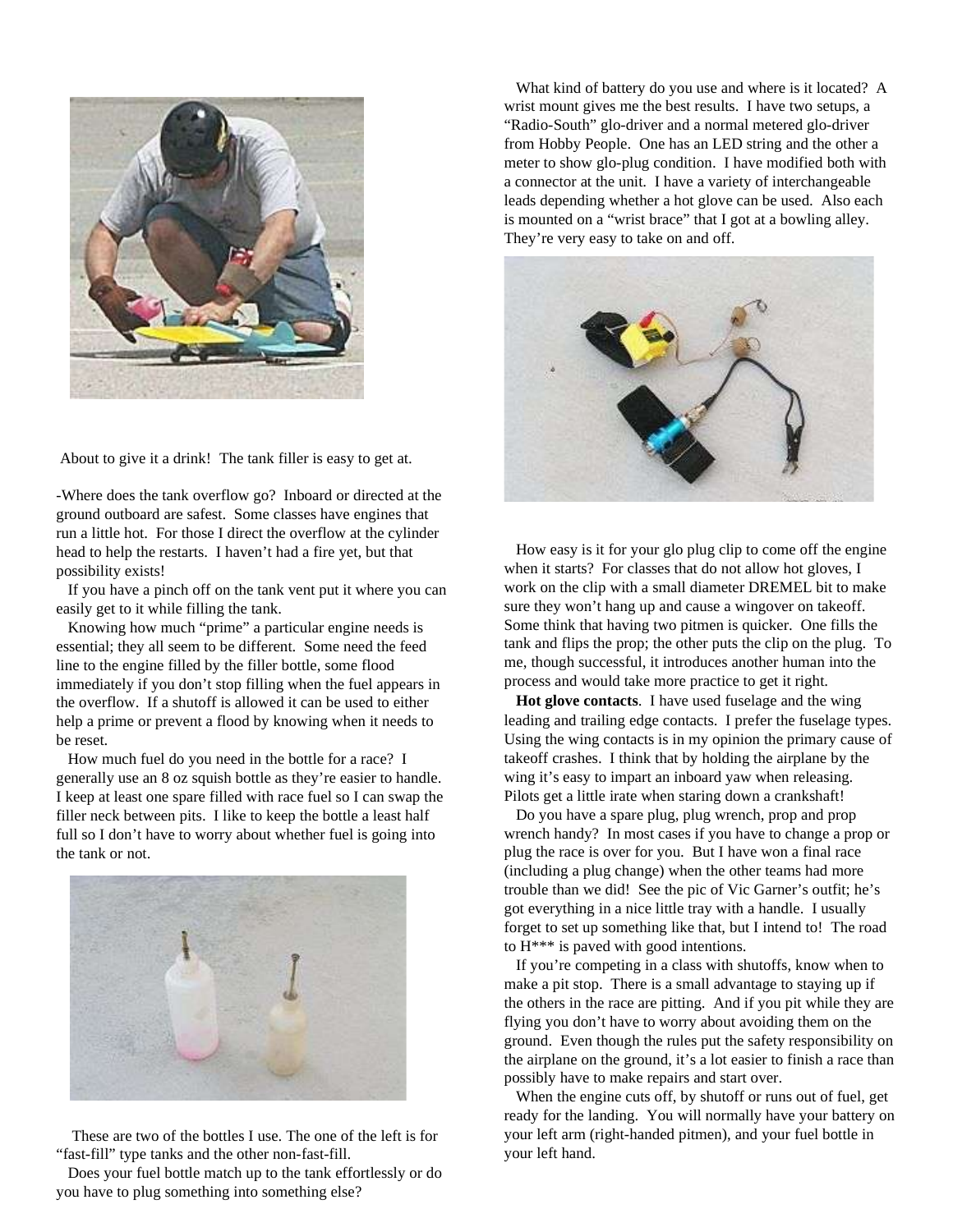

About to give it a drink! The tank filler is easy to get at.

-Where does the tank overflow go? Inboard or directed at the ground outboard are safest. Some classes have engines that run a little hot. For those I direct the overflow at the cylinder head to help the restarts. I haven't had a fire yet, but that possibility exists!

If you have a pinch off on the tank vent put it where you can easily get to it while filling the tank.

Knowing how much "prime" a particular engine needs is essential; they all seem to be different. Some need the feed line to the engine filled by the filler bottle, some flood immediately if you don't stop filling when the fuel appears in the overflow. If a shutoff is allowed it can be used to either help a prime or prevent a flood by knowing when it needs to be reset.

How much fuel do you need in the bottle for a race? I generally use an 8 oz squish bottle as they're easier to handle. I keep at least one spare filled with race fuel so I can swap the filler neck between pits. I like to keep the bottle a least half full so I don't have to worry about whether fuel is going into the tank or not.



These are two of the bottles I use. The one of the left is for "fast-fill" type tanks and the other non-fast-fill.

Does your fuel bottle match up to the tank effortlessly or do you have to plug something into something else?

What kind of battery do you use and where is it located? A wrist mount gives me the best results. I have two setups, a "Radio-South" glo-driver and a normal metered glo-driver from Hobby People. One has an LED string and the other a meter to show glo-plug condition. I have modified both with a connector at the unit. I have a variety of interchangeable leads depending whether a hot glove can be used. Also each is mounted on a "wrist brace" that I got at a bowling alley. They're very easy to take on and off.



How easy is it for your glo plug clip to come off the engine when it starts? For classes that do not allow hot gloves, I work on the clip with a small diameter DREMEL bit to make sure they won't hang up and cause a wingover on takeoff. Some think that having two pitmen is quicker. One fills the tank and flips the prop; the other puts the clip on the plug. To me, though successful, it introduces another human into the process and would take more practice to get it right.

**Hot glove contacts**. I have used fuselage and the wing leading and trailing edge contacts. I prefer the fuselage types. Using the wing contacts is in my opinion the primary cause of takeoff crashes. I think that by holding the airplane by the wing it's easy to impart an inboard yaw when releasing. Pilots get a little irate when staring down a crankshaft!

Do you have a spare plug, plug wrench, prop and prop wrench handy? In most cases if you have to change a prop or plug the race is over for you. But I have won a final race (including a plug change) when the other teams had more trouble than we did! See the pic of Vic Garner's outfit; he's got everything in a nice little tray with a handle. I usually forget to set up something like that, but I intend to! The road to H\*\*\* is paved with good intentions.

If you're competing in a class with shutoffs, know when to make a pit stop. There is a small advantage to staying up if the others in the race are pitting. And if you pit while they are flying you don't have to worry about avoiding them on the ground. Even though the rules put the safety responsibility on the airplane on the ground, it's a lot easier to finish a race than possibly have to make repairs and start over.

When the engine cuts off, by shutoff or runs out of fuel, get ready for the landing. You will normally have your battery on your left arm (right-handed pitmen), and your fuel bottle in your left hand.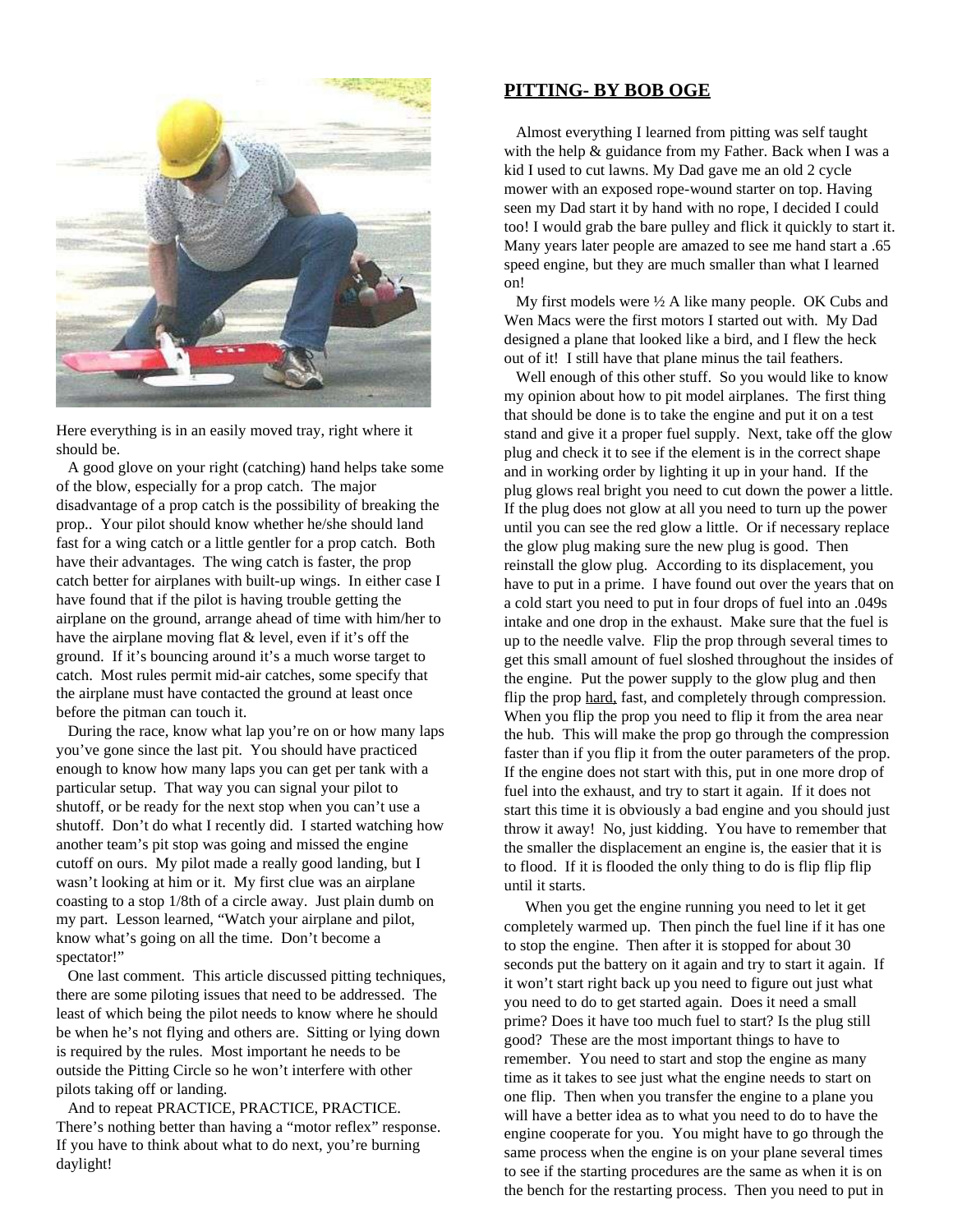

Here everything is in an easily moved tray, right where it should be.

A good glove on your right (catching) hand helps take some of the blow, especially for a prop catch. The major disadvantage of a prop catch is the possibility of breaking the prop.. Your pilot should know whether he/she should land fast for a wing catch or a little gentler for a prop catch. Both have their advantages. The wing catch is faster, the prop catch better for airplanes with built-up wings. In either case I have found that if the pilot is having trouble getting the airplane on the ground, arrange ahead of time with him/her to have the airplane moving flat & level, even if it's off the ground. If it's bouncing around it's a much worse target to catch. Most rules permit mid-air catches, some specify that the airplane must have contacted the ground at least once before the pitman can touch it.

During the race, know what lap you're on or how many laps you've gone since the last pit. You should have practiced enough to know how many laps you can get per tank with a particular setup. That way you can signal your pilot to shutoff, or be ready for the next stop when you can't use a shutoff. Don't do what I recently did. I started watching how another team's pit stop was going and missed the engine cutoff on ours. My pilot made a really good landing, but I wasn't looking at him or it. My first clue was an airplane coasting to a stop 1/8th of a circle away. Just plain dumb on my part. Lesson learned, "Watch your airplane and pilot, know what's going on all the time. Don't become a spectator!"

One last comment. This article discussed pitting techniques, there are some piloting issues that need to be addressed. The least of which being the pilot needs to know where he should be when he's not flying and others are. Sitting or lying down is required by the rules. Most important he needs to be outside the Pitting Circle so he won't interfere with other pilots taking off or landing.

And to repeat PRACTICE, PRACTICE, PRACTICE. There's nothing better than having a "motor reflex" response. If you have to think about what to do next, you're burning daylight!

# **PITTING- BY BOB OGE**

Almost everything I learned from pitting was self taught with the help & guidance from my Father. Back when I was a kid I used to cut lawns. My Dad gave me an old 2 cycle mower with an exposed rope-wound starter on top. Having seen my Dad start it by hand with no rope, I decided I could too! I would grab the bare pulley and flick it quickly to start it. Many years later people are amazed to see me hand start a .65 speed engine, but they are much smaller than what I learned on!

My first models were ½ A like many people. OK Cubs and Wen Macs were the first motors I started out with. My Dad designed a plane that looked like a bird, and I flew the heck out of it! I still have that plane minus the tail feathers.

Well enough of this other stuff. So you would like to know my opinion about how to pit model airplanes. The first thing that should be done is to take the engine and put it on a test stand and give it a proper fuel supply. Next, take off the glow plug and check it to see if the element is in the correct shape and in working order by lighting it up in your hand. If the plug glows real bright you need to cut down the power a little. If the plug does not glow at all you need to turn up the power until you can see the red glow a little. Or if necessary replace the glow plug making sure the new plug is good. Then reinstall the glow plug. According to its displacement, you have to put in a prime. I have found out over the years that on a cold start you need to put in four drops of fuel into an .049s intake and one drop in the exhaust. Make sure that the fuel is up to the needle valve. Flip the prop through several times to get this small amount of fuel sloshed throughout the insides of the engine. Put the power supply to the glow plug and then flip the prop hard, fast, and completely through compression. When you flip the prop you need to flip it from the area near the hub. This will make the prop go through the compression faster than if you flip it from the outer parameters of the prop. If the engine does not start with this, put in one more drop of fuel into the exhaust, and try to start it again. If it does not start this time it is obviously a bad engine and you should just throw it away! No, just kidding. You have to remember that the smaller the displacement an engine is, the easier that it is to flood. If it is flooded the only thing to do is flip flip flip until it starts.

 When you get the engine running you need to let it get completely warmed up. Then pinch the fuel line if it has one to stop the engine. Then after it is stopped for about 30 seconds put the battery on it again and try to start it again. If it won't start right back up you need to figure out just what you need to do to get started again. Does it need a small prime? Does it have too much fuel to start? Is the plug still good? These are the most important things to have to remember. You need to start and stop the engine as many time as it takes to see just what the engine needs to start on one flip. Then when you transfer the engine to a plane you will have a better idea as to what you need to do to have the engine cooperate for you. You might have to go through the same process when the engine is on your plane several times to see if the starting procedures are the same as when it is on the bench for the restarting process. Then you need to put in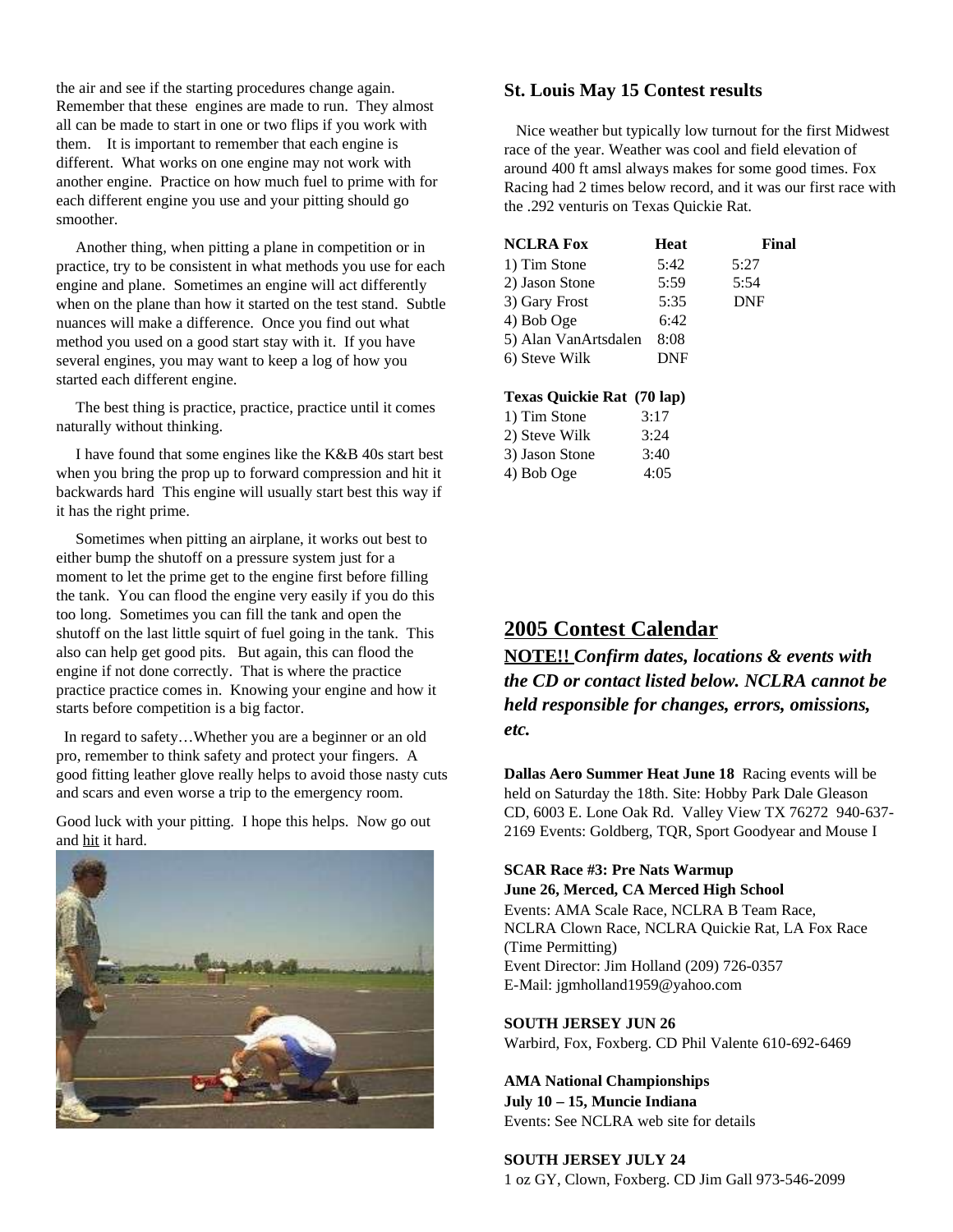the air and see if the starting procedures change again. Remember that these engines are made to run. They almost all can be made to start in one or two flips if you work with them. It is important to remember that each engine is different. What works on one engine may not work with another engine. Practice on how much fuel to prime with for each different engine you use and your pitting should go smoother.

Another thing, when pitting a plane in competition or in practice, try to be consistent in what methods you use for each engine and plane. Sometimes an engine will act differently when on the plane than how it started on the test stand. Subtle nuances will make a difference. Once you find out what method you used on a good start stay with it. If you have several engines, you may want to keep a log of how you started each different engine.

The best thing is practice, practice, practice until it comes naturally without thinking.

I have found that some engines like the K&B 40s start best when you bring the prop up to forward compression and hit it backwards hard This engine will usually start best this way if it has the right prime.

Sometimes when pitting an airplane, it works out best to either bump the shutoff on a pressure system just for a moment to let the prime get to the engine first before filling the tank. You can flood the engine very easily if you do this too long. Sometimes you can fill the tank and open the shutoff on the last little squirt of fuel going in the tank. This also can help get good pits. But again, this can flood the engine if not done correctly. That is where the practice practice practice comes in. Knowing your engine and how it starts before competition is a big factor.

In regard to safety…Whether you are a beginner or an old pro, remember to think safety and protect your fingers. A good fitting leather glove really helps to avoid those nasty cuts and scars and even worse a trip to the emergency room.

Good luck with your pitting. I hope this helps. Now go out and hit it hard.



# **St. Louis May 15 Contest results**

Nice weather but typically low turnout for the first Midwest race of the year. Weather was cool and field elevation of around 400 ft amsl always makes for some good times. Fox Racing had 2 times below record, and it was our first race with the .292 venturis on Texas Quickie Rat.

| <b>NCLRA Fox</b>     | Heat | Final      |
|----------------------|------|------------|
| 1) Tim Stone         | 5:42 | 5:27       |
| 2) Jason Stone       | 5:59 | 5:54       |
| 3) Gary Frost        | 5:35 | <b>DNF</b> |
| 4) Bob Oge           | 6:42 |            |
| 5) Alan VanArtsdalen | 8:08 |            |
| 6) Steve Wilk        | DNF  |            |
|                      |      |            |

#### **Texas Quickie Rat (70 lap)**

| 1) Tim Stone   | 3:17 |
|----------------|------|
| 2) Steve Wilk  | 3:24 |
| 3) Jason Stone | 3:40 |
| 4) Bob Oge     | 4:05 |

# **2005 Contest Calendar**

**NOTE!!** *Confirm dates, locations & events with the CD or contact listed below. NCLRA cannot be held responsible for changes, errors, omissions, etc.*

**Dallas Aero Summer Heat June 18** Racing events will be held on Saturday the 18th. Site: Hobby Park Dale Gleason CD, 6003 E. Lone Oak Rd. Valley View TX 76272 940-637- 2169 Events: Goldberg, TQR, Sport Goodyear and Mouse I

# **SCAR Race #3: Pre Nats Warmup**

**June 26, Merced, CA Merced High School** Events: AMA Scale Race, NCLRA B Team Race, NCLRA Clown Race, NCLRA Quickie Rat, LA Fox Race (Time Permitting) Event Director: Jim Holland (209) 726-0357 E-Mail: jgmholland1959@yahoo.com

**SOUTH JERSEY JUN 26** Warbird, Fox, Foxberg. CD Phil Valente 610-692-6469

### **AMA National Championships July 10 – 15, Muncie Indiana**

Events: See NCLRA web site for details

#### **SOUTH JERSEY JULY 24**

1 oz GY, Clown, Foxberg. CD Jim Gall 973-546-2099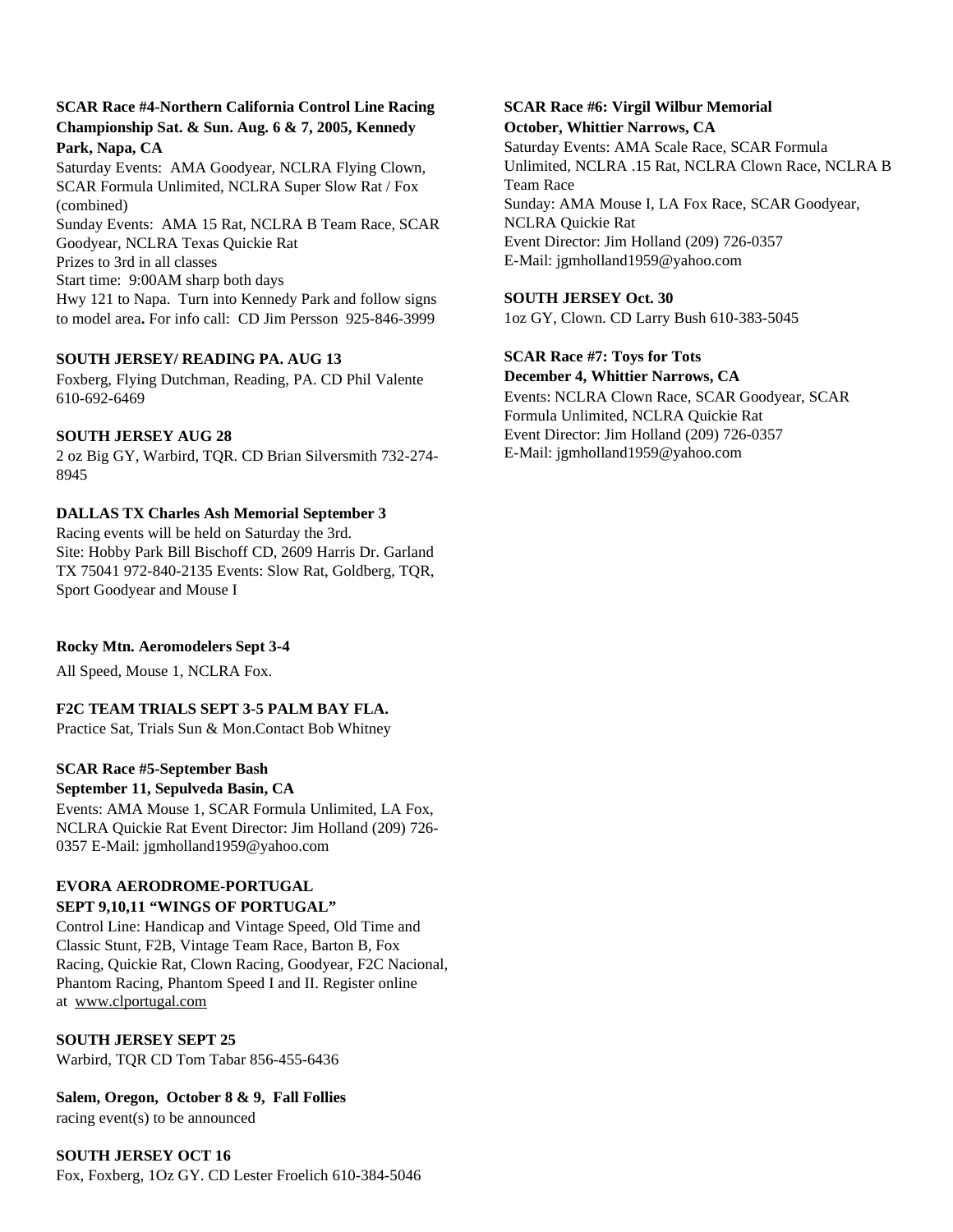# **SCAR Race #4-Northern California Control Line Racing Championship Sat. & Sun. Aug. 6 & 7, 2005, Kennedy Park, Napa, CA**

Saturday Events: AMA Goodyear, NCLRA Flying Clown, SCAR Formula Unlimited, NCLRA Super Slow Rat / Fox (combined)

Sunday Events: AMA 15 Rat, NCLRA B Team Race, SCAR Goodyear, NCLRA Texas Quickie Rat Prizes to 3rd in all classes Start time: 9:00AM sharp both days Hwy 121 to Napa. Turn into Kennedy Park and follow signs to model area**.** For info call: CD Jim Persson 925-846-3999

### **SOUTH JERSEY/ READING PA. AUG 13**

Foxberg, Flying Dutchman, Reading, PA. CD Phil Valente 610-692-6469

### **SOUTH JERSEY AUG 28**

2 oz Big GY, Warbird, TQR. CD Brian Silversmith 732-274- 8945

# **DALLAS TX Charles Ash Memorial September 3**

Racing events will be held on Saturday the 3rd. Site: Hobby Park Bill Bischoff CD, 2609 Harris Dr. Garland TX 75041 972-840-2135 Events: Slow Rat, Goldberg, TQR, Sport Goodyear and Mouse I

# **Rocky Mtn. Aeromodelers Sept 3-4**

All Speed, Mouse 1, NCLRA Fox.

#### **F2C TEAM TRIALS SEPT 3-5 PALM BAY FLA.**

Practice Sat, Trials Sun & Mon.Contact Bob Whitney

#### **SCAR Race #5-September Bash**

#### **September 11, Sepulveda Basin, CA**

Events: AMA Mouse 1, SCAR Formula Unlimited, LA Fox, NCLRA Quickie Rat Event Director: Jim Holland (209) 726- 0357 E-Mail: jgmholland1959@yahoo.com

### **EVORA AERODROME-PORTUGAL SEPT 9,10,11 "WINGS OF PORTUGAL"**

Control Line: Handicap and Vintage Speed, Old Time and Classic Stunt, F2B, Vintage Team Race, Barton B, Fox Racing, Quickie Rat, Clown Racing, Goodyear, F2C Nacional, Phantom Racing, Phantom Speed I and II. Register online at www.clportugal.com

#### **SOUTH JERSEY SEPT 25**

Warbird, TQR CD Tom Tabar 856-455-6436

**Salem, Oregon, October 8 & 9, Fall Follies** racing event(s) to be announced

# **SOUTH JERSEY OCT 16** Fox, Foxberg, 1Oz GY. CD Lester Froelich 610-384-5046

### **SCAR Race #6: Virgil Wilbur Memorial October, Whittier Narrows, CA**

Saturday Events: AMA Scale Race, SCAR Formula Unlimited, NCLRA .15 Rat, NCLRA Clown Race, NCLRA B Team Race Sunday: AMA Mouse I, LA Fox Race, SCAR Goodyear, NCLRA Quickie Rat Event Director: Jim Holland (209) 726-0357 E-Mail: jgmholland1959@yahoo.com

#### **SOUTH JERSEY Oct. 30**

1oz GY, Clown. CD Larry Bush 610-383-5045

**SCAR Race #7: Toys for Tots**

**December 4, Whittier Narrows, CA** Events: NCLRA Clown Race, SCAR Goodyear, SCAR Formula Unlimited, NCLRA Quickie Rat Event Director: Jim Holland (209) 726-0357 E-Mail: jgmholland1959@yahoo.com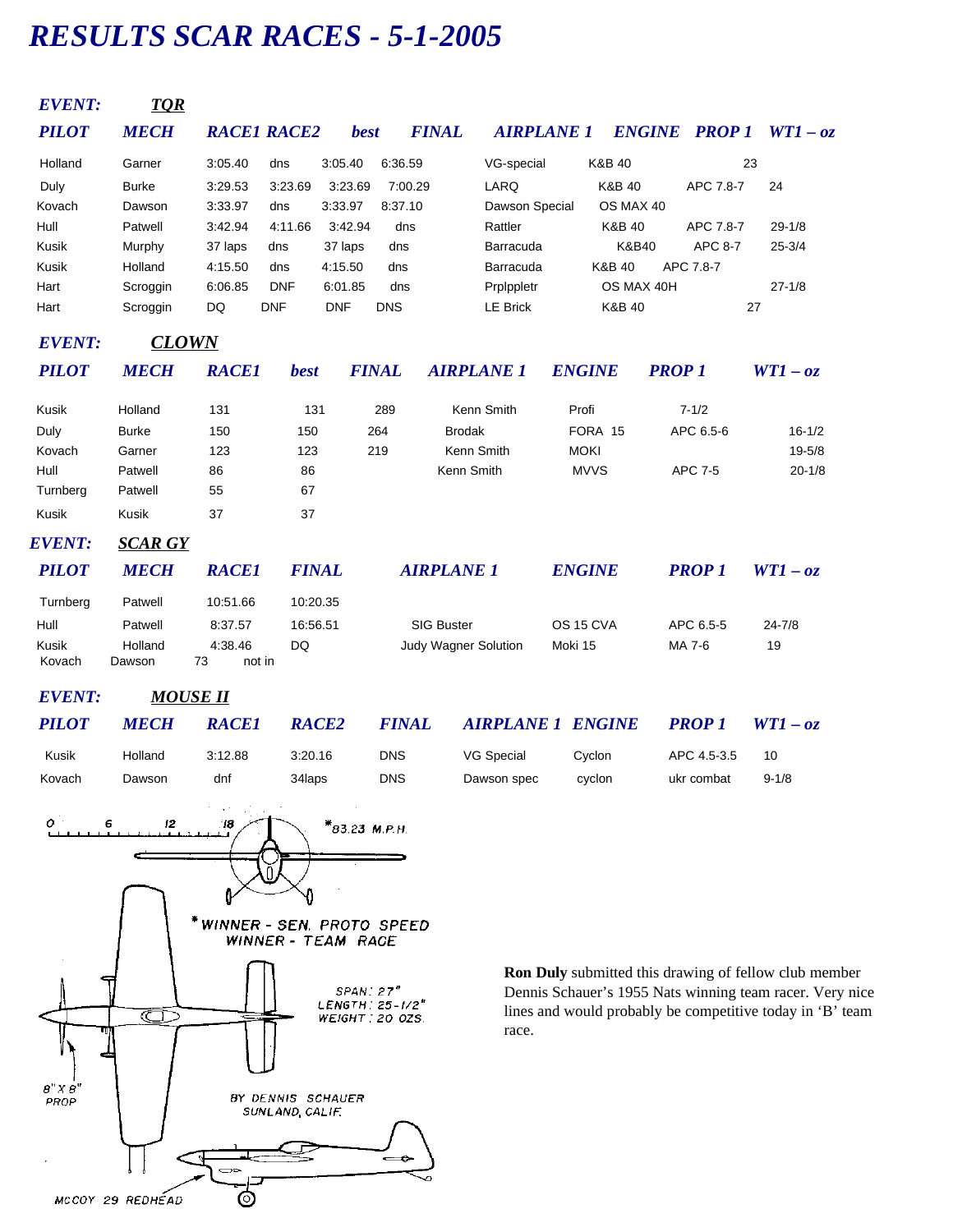# *RESULTS SCAR RACES - 5-1-2005*

| <b>EVENT:</b>          | <b>TOR</b>        |                         |              |             |              |                             |                   |         |                   |               |                      |            |
|------------------------|-------------------|-------------------------|--------------|-------------|--------------|-----------------------------|-------------------|---------|-------------------|---------------|----------------------|------------|
| <b>PILOT</b>           | <b>MECH</b>       | <b>RACE1 RACE2</b>      |              | <b>best</b> |              | <b>FINAL</b>                | <b>AIRPLANE 1</b> |         |                   |               | <b>ENGINE PROP 1</b> | $WT1 - oz$ |
| Holland                | Garner            | 3:05.40                 | dns          | 3:05.40     | 6.36.59      |                             | VG-special        |         | K&B 40            |               |                      | 23         |
| Duly                   | <b>Burke</b>      | 3:29.53                 | 3:23.69      | 3:23.69     | 7:00.29      |                             | LARQ              |         | <b>K&amp;B 40</b> |               | APC 7.8-7            | 24         |
| Kovach                 | Dawson            | 3:33.97                 | dns          | 3:33.97     | 8:37.10      |                             | Dawson Special    |         | OS MAX 40         |               |                      |            |
| Hull                   | Patwell           | 3:42.94                 | 4:11.66      | 3:42.94     | dns          |                             | Rattler           |         | <b>K&amp;B 40</b> |               | APC 7.8-7            | $29 - 1/8$ |
| Kusik                  | Murphy            | 37 laps                 | dns          | 37 laps     | dns          |                             | Barracuda         |         | K&B40             |               | <b>APC 8-7</b>       | $25 - 3/4$ |
| Kusik                  | Holland           | 4:15.50                 | dns          | 4:15.50     | dns          |                             | Barracuda         |         | K&B 40            |               | APC 7.8-7            |            |
| Hart                   | Scroggin          | 6:06.85                 | <b>DNF</b>   | 6:01.85     | dns          |                             | Prplppletr        |         | OS MAX 40H        |               |                      | $27 - 1/8$ |
| Hart                   | Scroggin          | DQ                      | <b>DNF</b>   | <b>DNF</b>  | <b>DNS</b>   |                             | <b>LE Brick</b>   |         | K&B 40            |               |                      | 27         |
| <b>EVENT:</b>          | <b>CLOWN</b>      |                         |              |             |              |                             |                   |         |                   |               |                      |            |
| <b>PILOT</b>           | <b>MECH</b>       | <b>RACE1</b>            | <b>best</b>  |             | <b>FINAL</b> | <b>AIRPLANE 1</b>           |                   |         | <b>ENGINE</b>     | <b>PROP 1</b> |                      | $WT1 - oz$ |
| Kusik                  | Holland           | 131                     | 131          |             | 289          |                             | Kenn Smith        | Profi   |                   |               | $7 - 1/2$            |            |
| Duly                   | <b>Burke</b>      | 150                     | 150          |             | 264          | <b>Brodak</b>               |                   |         | FORA 15           |               | APC 6.5-6            | $16 - 1/2$ |
| Kovach                 | Garner            | 123                     | 123          |             | 219          | Kenn Smith                  |                   |         | <b>MOKI</b>       |               |                      | $19 - 5/8$ |
| Hull                   | Patwell           | 86                      | 86           |             |              | Kenn Smith                  |                   |         | <b>MVVS</b>       |               | <b>APC 7-5</b>       | $20 - 1/8$ |
| Turnberg               | Patwell           | 55                      | 67           |             |              |                             |                   |         |                   |               |                      |            |
| Kusik                  | <b>Kusik</b>      | 37                      | 37           |             |              |                             |                   |         |                   |               |                      |            |
| EVENT:                 | <b>SCAR GY</b>    |                         |              |             |              |                             |                   |         |                   |               |                      |            |
| <b>PILOT</b>           | <b>MECH</b>       | <b>RACE1</b>            | <b>FINAL</b> |             |              | <b>AIRPLANE 1</b>           |                   |         | <b>ENGINE</b>     |               | <b>PROP 1</b>        | $WT1 - oz$ |
| Turnberg               | Patwell           | 10:51.66                | 10:20.35     |             |              |                             |                   |         |                   |               |                      |            |
| Hull                   | Patwell           | 8:37.57                 | 16:56.51     |             |              | <b>SIG Buster</b>           |                   |         | OS 15 CVA         |               | APC 6.5-5            | $24 - 7/8$ |
| <b>Kusik</b><br>Kovach | Holland<br>Dawson | 4:38.46<br>73<br>not in | <b>DQ</b>    |             |              | <b>Judy Wagner Solution</b> |                   | Moki 15 |                   |               | MA 7-6               | 19         |
| <b>EVENT:</b>          | <b>MOUSE II</b>   |                         |              |             |              |                             |                   |         |                   |               |                      |            |

| <b>PILOT</b> | <i><b>MECH</b></i> | <b>RACE1</b> | RACE <sub>2</sub> | <b>FINAL</b> | <b>AIRPLANE 1 ENGINE</b> |        | <b>PROP</b> 1 | $WT1 - oz$ |
|--------------|--------------------|--------------|-------------------|--------------|--------------------------|--------|---------------|------------|
| Kusik        | Holland            | 3:12.88      | 3:20.16           | DNS          | VG Special               | Cvclon | APC 4.5-3.5   | 10         |
| Kovach       | Dawson             | dnf          | 34laps            | DNS          | Dawson spec              | cvclon | ukr combat    | $9 - 1/8$  |



**Ron Duly** submitted this drawing of fellow club member Dennis Schauer's 1955 Nats winning team racer. Very nice lines and would probably be competitive today in 'B' team race.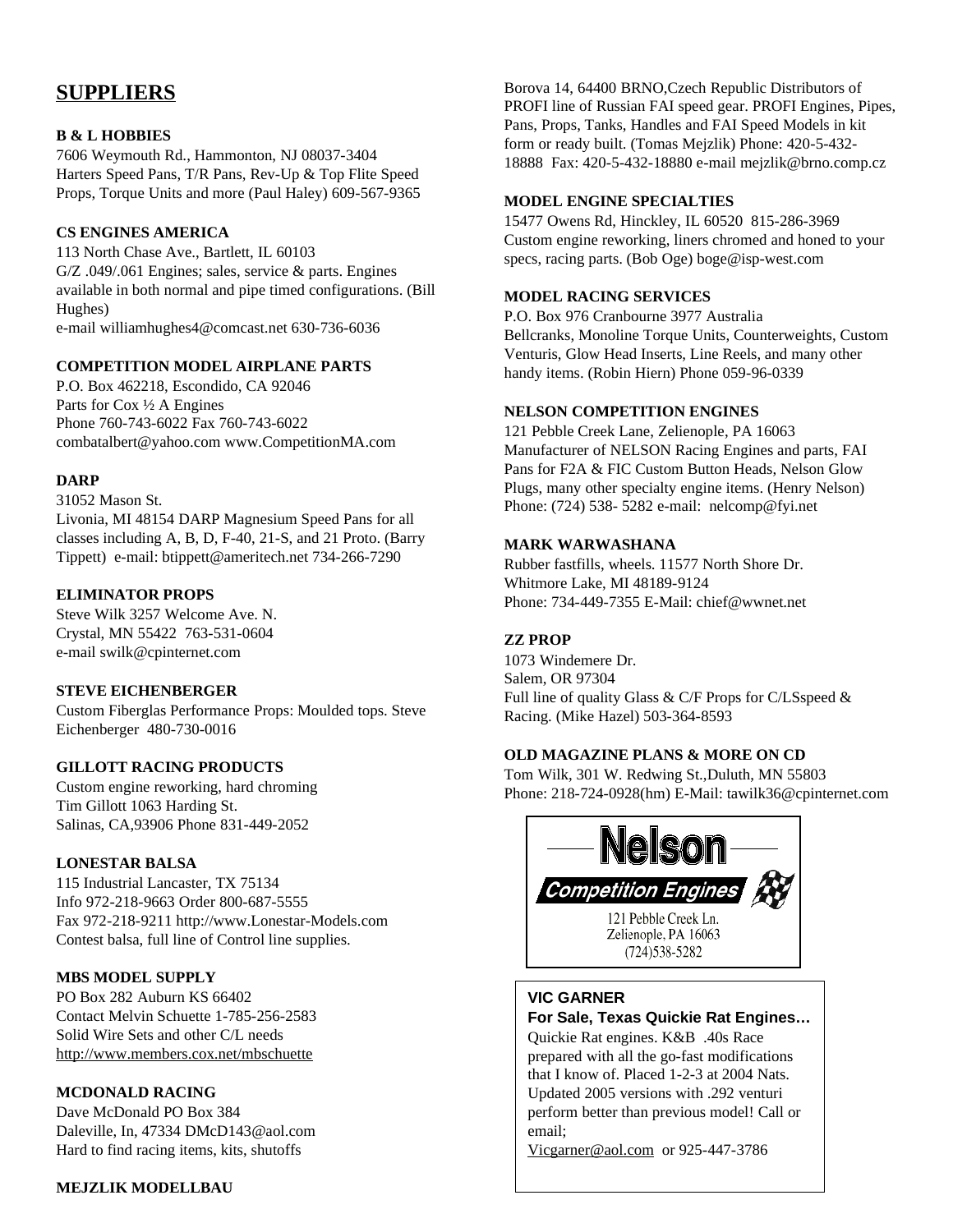# **SUPPLIERS**

# **B & L HOBBIES**

7606 Weymouth Rd., Hammonton, NJ 08037-3404 Harters Speed Pans, T/R Pans, Rev-Up & Top Flite Speed Props, Torque Units and more (Paul Haley) 609-567-9365

### **CS ENGINES AMERICA**

113 North Chase Ave., Bartlett, IL 60103 G/Z .049/.061 Engines; sales, service & parts. Engines available in both normal and pipe timed configurations. (Bill Hughes) e-mail williamhughes4@comcast.net 630-736-6036

# **COMPETITION MODEL AIRPLANE PARTS**

P.O. Box 462218, Escondido, CA 92046 Parts for Cox ½ A Engines Phone 760-743-6022 Fax 760-743-6022 combatalbert@yahoo.com www.CompetitionMA.com

#### **DARP**

31052 Mason St. Livonia, MI 48154 DARP Magnesium Speed Pans for all classes including A, B, D, F-40, 21-S, and 21 Proto. (Barry Tippett) e-mail: btippett@ameritech.net 734-266-7290

### **ELIMINATOR PROPS**

Steve Wilk 3257 Welcome Ave. N. Crystal, MN 55422 763-531-0604 e-mail swilk@cpinternet.com

#### **STEVE EICHENBERGER**

Custom Fiberglas Performance Props: Moulded tops. Steve Eichenberger 480-730-0016

#### **GILLOTT RACING PRODUCTS**

Custom engine reworking, hard chroming Tim Gillott 1063 Harding St. Salinas, CA,93906 Phone 831-449-2052

#### **LONESTAR BALSA**

115 Industrial Lancaster, TX 75134 Info 972-218-9663 Order 800-687-5555 Fax 972-218-9211 http://www.Lonestar-Models.com Contest balsa, full line of Control line supplies.

#### **MBS MODEL SUPPLY**

PO Box 282 Auburn KS 66402 Contact Melvin Schuette 1-785-256-2583 Solid Wire Sets and other C/L needs http://www.members.cox.net/mbschuette

#### **MCDONALD RACING**

Dave McDonald PO Box 384 Daleville, In, 47334 DMcD143@aol.com Hard to find racing items, kits, shutoffs

# **MEJZLIK MODELLBAU**

Borova 14, 64400 BRNO,Czech Republic Distributors of PROFI line of Russian FAI speed gear. PROFI Engines, Pipes, Pans, Props, Tanks, Handles and FAI Speed Models in kit form or ready built. (Tomas Mejzlik) Phone: 420-5-432- 18888 Fax: 420-5-432-18880 e-mail mejzlik@brno.comp.cz

#### **MODEL ENGINE SPECIALTIES**

15477 Owens Rd, Hinckley, IL 60520 815-286-3969 Custom engine reworking, liners chromed and honed to your specs, racing parts. (Bob Oge) boge@isp-west.com

#### **MODEL RACING SERVICES**

P.O. Box 976 Cranbourne 3977 Australia Bellcranks, Monoline Torque Units, Counterweights, Custom Venturis, Glow Head Inserts, Line Reels, and many other handy items. (Robin Hiern) Phone 059-96-0339

#### **NELSON COMPETITION ENGINES**

121 Pebble Creek Lane, Zelienople, PA 16063 Manufacturer of NELSON Racing Engines and parts, FAI Pans for F2A & FIC Custom Button Heads, Nelson Glow Plugs, many other specialty engine items. (Henry Nelson) Phone: (724) 538- 5282 e-mail: nelcomp@fyi.net

#### **MARK WARWASHANA**

Rubber fastfills, wheels. 11577 North Shore Dr. Whitmore Lake, MI 48189-9124 Phone: 734-449-7355 E-Mail: chief@wwnet.net

# **ZZ PROP**

1073 Windemere Dr. Salem, OR 97304 Full line of quality Glass & C/F Props for C/LSspeed & Racing. (Mike Hazel) 503-364-8593

# **OLD MAGAZINE PLANS & MORE ON CD**

Tom Wilk, 301 W. Redwing St.,Duluth, MN 55803 Phone: 218-724-0928(hm) E-Mail: tawilk36@cpinternet.com



# **VIC GARNER**

# **For Sale, Texas Quickie Rat Engines…**

Quickie Rat engines. K&B .40s Race prepared with all the go-fast modifications that I know of. Placed 1-2-3 at 2004 Nats. Updated 2005 versions with .292 venturi perform better than previous model! Call or email;

Vicgarner@aol.com or 925-447-3786